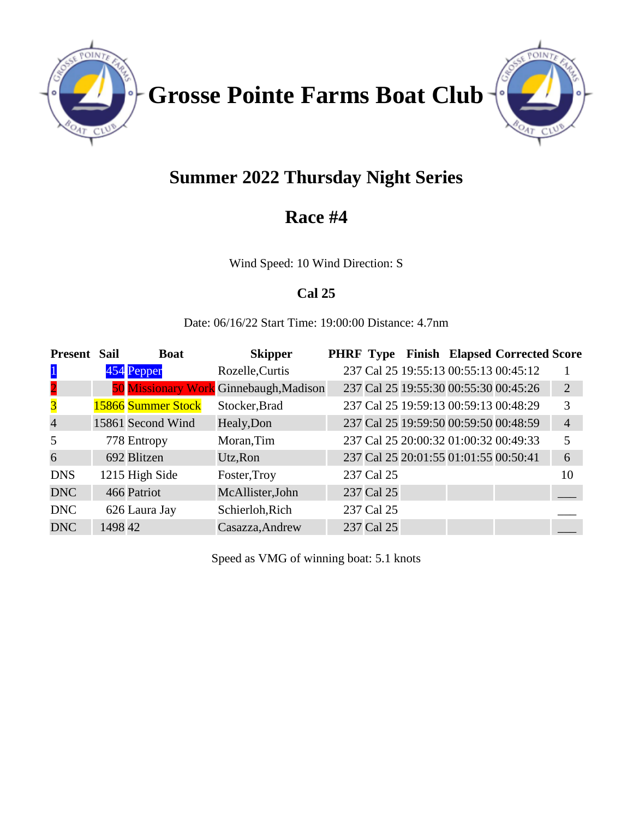

**Grosse Pointe Farms Boat Club**



# **Summer 2022 Thursday Night Series**

## **Race #4**

Wind Speed: 10 Wind Direction: S

## **Cal 25**

Date: 06/16/22 Start Time: 19:00:00 Distance: 4.7nm

| <b>Present</b>          | <b>Sail</b> | <b>Boat</b>        | <b>Skipper</b>                         |            |                                       | <b>PHRF Type Finish Elapsed Corrected Score</b> |                |
|-------------------------|-------------|--------------------|----------------------------------------|------------|---------------------------------------|-------------------------------------------------|----------------|
| $\mathbf{1}$            |             | 454 Pepper         | Rozelle, Curtis                        |            | 237 Cal 25 19:55:13 00:55:13 00:45:12 |                                                 |                |
| $\overline{\mathbf{2}}$ |             |                    | 50 Missionary Work Ginnebaugh, Madison |            | 237 Cal 25 19:55:30 00:55:30 00:45:26 |                                                 | 2              |
| $\overline{\mathbf{3}}$ |             | 15866 Summer Stock | Stocker, Brad                          |            | 237 Cal 25 19:59:13 00:59:13 00:48:29 |                                                 | 3              |
| $\overline{4}$          |             | 15861 Second Wind  | Healy, Don                             |            | 237 Cal 25 19:59:50 00:59:50 00:48:59 |                                                 | $\overline{4}$ |
| 5                       |             | 778 Entropy        | Moran, Tim                             |            | 237 Cal 25 20:00:32 01:00:32 00:49:33 |                                                 | 5              |
| 6                       |             | 692 Blitzen        | Utz, Ron                               |            | 237 Cal 25 20:01:55 01:01:55 00:50:41 |                                                 | 6              |
| <b>DNS</b>              |             | 1215 High Side     | Foster, Troy                           | 237 Cal 25 |                                       |                                                 | 10             |
| <b>DNC</b>              |             | 466 Patriot        | McAllister, John                       | 237 Cal 25 |                                       |                                                 |                |
| <b>DNC</b>              |             | 626 Laura Jay      | Schierloh, Rich                        | 237 Cal 25 |                                       |                                                 |                |
| <b>DNC</b>              | 1498 42     |                    | Casazza, Andrew                        | 237 Cal 25 |                                       |                                                 |                |

Speed as VMG of winning boat: 5.1 knots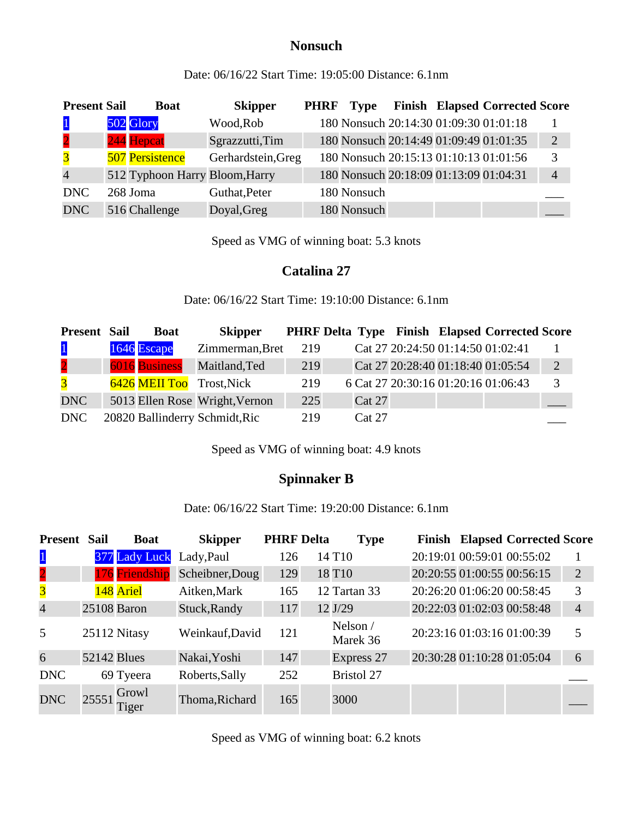### **Nonsuch**

Date: 06/16/22 Start Time: 19:05:00 Distance: 6.1nm

| <b>Present Sail</b>     | <b>Boat</b>                    | <b>Skipper</b>     | <b>PHRF</b> | <b>Type</b>                            |  | <b>Finish Elapsed Corrected Score</b>  |                |
|-------------------------|--------------------------------|--------------------|-------------|----------------------------------------|--|----------------------------------------|----------------|
| $\vert$ 1               | 502 Glory                      | Wood, Rob          |             |                                        |  | 180 Nonsuch 20:14:30 01:09:30 01:01:18 |                |
| $\overline{2}$          | 244 Hepcat                     | Sgrazzutti, Tim    |             |                                        |  | 180 Nonsuch 20:14:49 01:09:49 01:01:35 | $\overline{2}$ |
| $\overline{\mathbf{3}}$ | <b>507 Persistence</b>         | Gerhardstein, Greg |             |                                        |  | 180 Nonsuch 20:15:13 01:10:13 01:01:56 | 3              |
| $\overline{4}$          | 512 Typhoon Harry Bloom, Harry |                    |             | 180 Nonsuch 20:18:09 01:13:09 01:04:31 |  |                                        | $\overline{4}$ |
| <b>DNC</b>              | 268 Joma                       | Guthat, Peter      |             | 180 Nonsuch                            |  |                                        |                |
| <b>DNC</b>              | 516 Challenge                  | Doyal, Greg        |             | 180 Nonsuch                            |  |                                        |                |

Speed as VMG of winning boat: 5.3 knots

#### **Catalina 27**

Date: 06/16/22 Start Time: 19:10:00 Distance: 6.1nm

| <b>Present Sail</b> | <b>Boat</b>   | <b>Skipper</b>                 |     |               |                                     | <b>PHRF Delta Type Finish Elapsed Corrected Score</b> |                |
|---------------------|---------------|--------------------------------|-----|---------------|-------------------------------------|-------------------------------------------------------|----------------|
| $\mathbf{1}$        | 1646 Escape   | Zimmerman, Bret                | 219 |               | Cat 27 20:24:50 01:14:50 01:02:41   |                                                       |                |
| $\overline{2}$      | 6016 Business | Maitland, Ted                  | 219 |               |                                     | Cat 27 20:28:40 01:18:40 01:05:54                     | $\overline{2}$ |
| $\overline{3}$      |               | 6426 MEII Too Trost, Nick      | 219 |               | 6 Cat 27 20:30:16 01:20:16 01:06:43 |                                                       | $\mathcal{R}$  |
| <b>DNC</b>          |               | 5013 Ellen Rose Wright, Vernon | 225 | <b>Cat 27</b> |                                     |                                                       |                |
| DNC                 |               | 20820 Ballinderry Schmidt, Ric | 219 | Cat 27        |                                     |                                                       |                |

Speed as VMG of winning boat: 4.9 knots

## **Spinnaker B**

Date: 06/16/22 Start Time: 19:20:00 Distance: 6.1nm

| <b>Present</b>          | <b>Sail</b>        | <b>Boat</b>    | <b>Skipper</b>  | <b>PHRF Delta</b> | <b>Type</b>          |                            |                            | <b>Finish Elapsed Corrected Score</b> |                |
|-------------------------|--------------------|----------------|-----------------|-------------------|----------------------|----------------------------|----------------------------|---------------------------------------|----------------|
| $\mathbf{1}$            |                    | 377 Lady Luck  | Lady, Paul      | 126               | 14 T <sub>10</sub>   |                            | 20:19:01 00:59:01 00:55:02 |                                       |                |
| $\overline{\mathbf{2}}$ |                    | 176 Friendship | Scheibner, Doug | 129               | 18 T <sub>10</sub>   |                            | 20:20:55 01:00:55 00:56:15 |                                       | $\overline{2}$ |
| $\overline{\mathbf{3}}$ |                    | 148 Ariel      | Aitken, Mark    | 165               | 12 Tartan 33         |                            | 20:26:20 01:06:20 00:58:45 |                                       | 3              |
| $\overline{4}$          |                    | 25108 Baron    | Stuck, Randy    | 117               | 12 J/29              |                            | 20:22:03 01:02:03 00:58:48 |                                       | $\overline{4}$ |
| 5                       |                    | 25112 Nitasy   | Weinkauf, David | 121               | Nelson /<br>Marek 36 |                            | 20:23:16 01:03:16 01:00:39 |                                       | 5              |
| 6                       | <b>52142 Blues</b> |                | Nakai, Yoshi    | 147               | Express 27           | 20:30:28 01:10:28 01:05:04 |                            |                                       | 6              |
| <b>DNC</b>              |                    | 69 Tyeera      | Roberts, Sally  | 252               | <b>Bristol 27</b>    |                            |                            |                                       |                |
| <b>DNC</b>              | 25551              | Growl<br>Figer | Thoma, Richard  | 165               | 3000                 |                            |                            |                                       |                |

Speed as VMG of winning boat: 6.2 knots